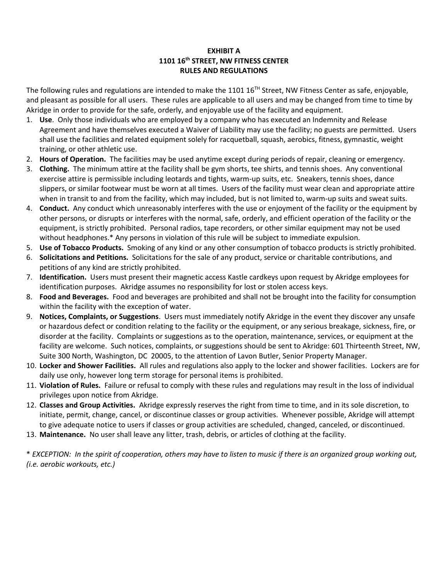## **EXHIBIT A 1101 16 th STREET, NW FITNESS CENTER RULES AND REGULATIONS**

The following rules and regulations are intended to make the 1101 16<sup>TH</sup> Street, NW Fitness Center as safe, enjoyable, and pleasant as possible for all users. These rules are applicable to all users and may be changed from time to time by Akridge in order to provide for the safe, orderly, and enjoyable use of the facility and equipment.

- 1. **Use**. Only those individuals who are employed by a company who has executed an Indemnity and Release Agreement and have themselves executed a Waiver of Liability may use the facility; no guests are permitted. Users shall use the facilities and related equipment solely for racquetball, squash, aerobics, fitness, gymnastic, weight training, or other athletic use.
- 2. **Hours of Operation.** The facilities may be used anytime except during periods of repair, cleaning or emergency.
- 3. **Clothing.** The minimum attire at the facility shall be gym shorts, tee shirts, and tennis shoes. Any conventional exercise attire is permissible including leotards and tights, warm-up suits, etc. Sneakers, tennis shoes, dance slippers, or similar footwear must be worn at all times. Users of the facility must wear clean and appropriate attire when in transit to and from the facility, which may included, but is not limited to, warm-up suits and sweat suits.
- 4. **Conduct.** Any conduct which unreasonably interferes with the use or enjoyment of the facility or the equipment by other persons, or disrupts or interferes with the normal, safe, orderly, and efficient operation of the facility or the equipment, is strictly prohibited. Personal radios, tape recorders, or other similar equipment may not be used without headphones.\* Any persons in violation of this rule will be subject to immediate expulsion.
- 5. **Use of Tobacco Products.** Smoking of any kind or any other consumption of tobacco products is strictly prohibited.
- 6. **Solicitations and Petitions.** Solicitations for the sale of any product, service or charitable contributions, and petitions of any kind are strictly prohibited.
- 7. **Identification.** Users must present their magnetic access Kastle cardkeys upon request by Akridge employees for identification purposes. Akridge assumes no responsibility for lost or stolen access keys.
- 8. **Food and Beverages.** Food and beverages are prohibited and shall not be brought into the facility for consumption within the facility with the exception of water.
- 9. **Notices, Complaints, or Suggestions**. Users must immediately notify Akridge in the event they discover any unsafe or hazardous defect or condition relating to the facility or the equipment, or any serious breakage, sickness, fire, or disorder at the facility. Complaints or suggestions as to the operation, maintenance, services, or equipment at the facility are welcome. Such notices, complaints, or suggestions should be sent to Akridge: 601 Thirteenth Street, NW, Suite 300 North, Washington, DC 20005, to the attention of Lavon Butler, Senior Property Manager.
- 10. **Locker and Shower Facilities.** All rules and regulations also apply to the locker and shower facilities. Lockers are for daily use only, however long term storage for personal items is prohibited.
- 11. **Violation of Rules.** Failure or refusal to comply with these rules and regulations may result in the loss of individual privileges upon notice from Akridge.
- 12. **Classes and Group Activities.** Akridge expressly reserves the right from time to time, and in its sole discretion, to initiate, permit, change, cancel, or discontinue classes or group activities. Whenever possible, Akridge will attempt to give adequate notice to users if classes or group activities are scheduled, changed, canceled, or discontinued.
- 13. **Maintenance.** No user shall leave any litter, trash, debris, or articles of clothing at the facility.

\* *EXCEPTION: In the spirit of cooperation, others may have to listen to music if there is an organized group working out, (i.e. aerobic workouts, etc.)*